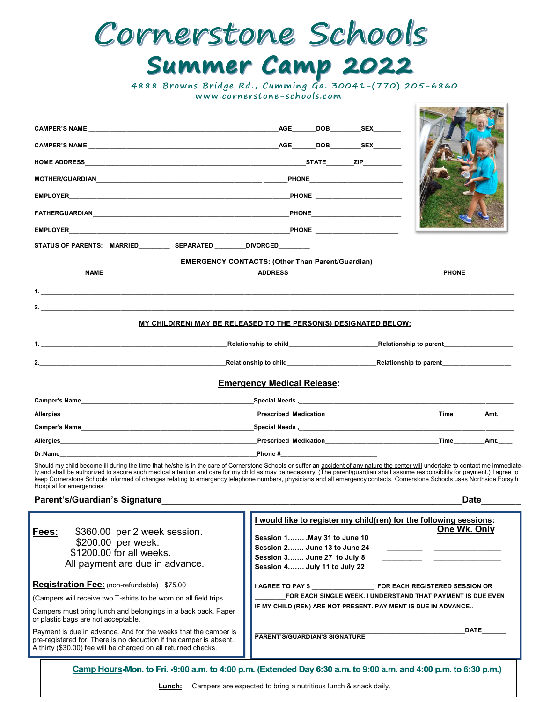## Cornerstone Schools **Summer Camp 2022**<br>4888 Browns Bridge Rd., Cumming Ga. 30041-(770) 205-6860

 **www. co rne rst one-s ch ool s .c om**

THE PLATFORME

| CAMPER'S NAME <b>And Account of the CAMPER'S NAME</b> | AGE________DOB___________SEX_________                                                                                                                                                                                                                                                                                                                                                                                                                                                                                                              |              |
|-------------------------------------------------------|----------------------------------------------------------------------------------------------------------------------------------------------------------------------------------------------------------------------------------------------------------------------------------------------------------------------------------------------------------------------------------------------------------------------------------------------------------------------------------------------------------------------------------------------------|--------------|
|                                                       |                                                                                                                                                                                                                                                                                                                                                                                                                                                                                                                                                    |              |
|                                                       |                                                                                                                                                                                                                                                                                                                                                                                                                                                                                                                                                    |              |
|                                                       |                                                                                                                                                                                                                                                                                                                                                                                                                                                                                                                                                    |              |
|                                                       |                                                                                                                                                                                                                                                                                                                                                                                                                                                                                                                                                    |              |
|                                                       | <b>FATHERGUARDIAN Example 2008 CONSUMING A REPORT OF A REPORT OF A REPORT OF A REPORT OF A REPORT OF A REPORT OF A REPORT OF A REPORT OF A REPORT OF A REPORT OF A REPORT OF A REPORT OF A REPORT OF A REPORT OF A REPORT OF</b>                                                                                                                                                                                                                                                                                                                   |              |
|                                                       |                                                                                                                                                                                                                                                                                                                                                                                                                                                                                                                                                    |              |
|                                                       |                                                                                                                                                                                                                                                                                                                                                                                                                                                                                                                                                    |              |
|                                                       | <b>EMERGENCY CONTACTS: (Other Than Parent/Guardian)</b>                                                                                                                                                                                                                                                                                                                                                                                                                                                                                            |              |
| <b>NAME</b>                                           | <b>ADDRESS</b>                                                                                                                                                                                                                                                                                                                                                                                                                                                                                                                                     | <b>PHONE</b> |
| 1. $\blacksquare$                                     |                                                                                                                                                                                                                                                                                                                                                                                                                                                                                                                                                    |              |
| 2.                                                    |                                                                                                                                                                                                                                                                                                                                                                                                                                                                                                                                                    |              |
|                                                       | MY CHILD(REN) MAY BE RELEASED TO THE PERSON(S) DESIGNATED BELOW:                                                                                                                                                                                                                                                                                                                                                                                                                                                                                   |              |
|                                                       | 1. Network and the second service of the second service of the second service of the service of the service of the service of the service of the service of the service of the service of the service of the service of the se                                                                                                                                                                                                                                                                                                                     |              |
| 2.                                                    |                                                                                                                                                                                                                                                                                                                                                                                                                                                                                                                                                    |              |
|                                                       | <b>Emergency Medical Release:</b>                                                                                                                                                                                                                                                                                                                                                                                                                                                                                                                  |              |
|                                                       |                                                                                                                                                                                                                                                                                                                                                                                                                                                                                                                                                    |              |
|                                                       |                                                                                                                                                                                                                                                                                                                                                                                                                                                                                                                                                    |              |
|                                                       |                                                                                                                                                                                                                                                                                                                                                                                                                                                                                                                                                    |              |
|                                                       |                                                                                                                                                                                                                                                                                                                                                                                                                                                                                                                                                    |              |
|                                                       |                                                                                                                                                                                                                                                                                                                                                                                                                                                                                                                                                    |              |
|                                                       | Should my child become ill during the time that he/she is in the care of Cornerstone Schools or suffer an accident of any nature the center will undertake to contact me immediate-<br>ly and shall be authorized to secure such medical attention and care for my child as may be necessary. (The parent/guardian shall assume responsibility for payment.) I agree to<br>keep Cornerstone Schools informed of changes relating to emergency telephone numbers, physicians and all emergency contacts. Cornerstone Schools uses Northside Forsyth |              |

Hospital for emergencies.

## **Parent's/Guardian's Signature\_\_\_\_\_\_\_\_\_\_\_\_\_\_\_\_\_\_\_\_\_\_\_\_\_\_\_\_\_\_\_\_\_\_\_\_\_\_\_\_\_\_\_\_\_\_\_\_\_\_\_\_\_\_\_\_\_\_\_\_\_Date\_\_\_\_\_\_\_\_**

| \$360.00 per 2 week session.<br><u>Fees:</u><br>\$200.00 per week.<br>\$1200.00 for all weeks.<br>All payment are due in advance.                                                                       | I would like to register my child(ren) for the following sessions:<br>One Wk. Only<br>Session 1 May 31 to June 10<br>Session 2 June 13 to June 24<br>Session 3 June 27 to July 8<br>Session 4 July 11 to July 22 |  |
|---------------------------------------------------------------------------------------------------------------------------------------------------------------------------------------------------------|------------------------------------------------------------------------------------------------------------------------------------------------------------------------------------------------------------------|--|
| Registration Fee: (non-refundable) \$75.00                                                                                                                                                              | <b>I AGREE TO PAY \$</b> FOR EACH REGISTERED SESSION OR                                                                                                                                                          |  |
| (Campers will receive two T-shirts to be worn on all field trips.                                                                                                                                       | FOR EACH SINGLE WEEK. I UNDERSTAND THAT PAYMENT IS DUE EVEN                                                                                                                                                      |  |
| Campers must bring lunch and belongings in a back pack. Paper<br>or plastic bags are not acceptable.                                                                                                    | IF MY CHILD (REN) ARE NOT PRESENT. PAY MENT IS DUE IN ADVANCE                                                                                                                                                    |  |
| Payment is due in advance. And for the weeks that the camper is<br>pre-registered for. There is no deduction if the camper is absent.<br>A thirty (\$30.00) fee will be charged on all returned checks. | <b>DATE</b><br><b>PARENT'S/GUARDIAN'S SIGNATURE</b>                                                                                                                                                              |  |
| Camp Hours-Mon. to Fri. -9:00 a.m. to 4:00 p.m. (Extended Day 6:30 a.m. to 9:00 a.m. and 4:00 p.m. to 6:30 p.m.)                                                                                        |                                                                                                                                                                                                                  |  |